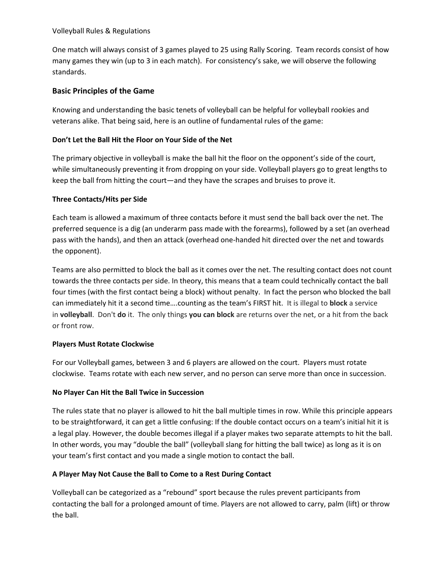#### Volleyball Rules & Regulations

One match will always consist of 3 games played to 25 using Rally Scoring. Team records consist of how many games they win (up to 3 in each match). For consistency's sake, we will observe the following standards.

## **Basic Principles of the Game**

Knowing and understanding the basic tenets of volleyball can be helpful for volleyball rookies and veterans alike. That being said, here is an outline of fundamental rules of the game:

## **Don't Let the Ball Hit the Floor on Your Side of the Net**

The primary objective in volleyball is make the ball hit the floor on the opponent's side of the court, while simultaneously preventing it from dropping on your side. Volleyball players go to great lengths to keep the ball from hitting the court—and they have the scrapes and bruises to prove it.

### **Three Contacts/Hits per Side**

Each team is allowed a maximum of three contacts before it must send the ball back over the net. The preferred sequence is a dig (an underarm pass made with the forearms), followed by a set (an overhead pass with the hands), and then an attack (overhead one-handed hit directed over the net and towards the opponent).

Teams are also permitted to block the ball as it comes over the net. The resulting contact does not count towards the three contacts per side. In theory, this means that a team could technically contact the ball four times (with the first contact being a block) without penalty. In fact the person who blocked the ball can immediately hit it a second time….counting as the team's FIRST hit. It is illegal to **block** a service in **volleyball**. Don't **do** it. The only things **you can block** are returns over the net, or a hit from the back or front row.

#### **Players Must Rotate Clockwise**

For our Volleyball games, between 3 and 6 players are allowed on the court. Players must rotate clockwise. Teams rotate with each new server, and no person can serve more than once in succession.

#### **No Player Can Hit the Ball Twice in Succession**

The rules state that no player is allowed to hit the ball multiple times in row. While this principle appears to be straightforward, it can get a little confusing: If the double contact occurs on a team's initial hit it is a legal play. However, the double becomes illegal if a player makes two separate attempts to hit the ball. In other words, you may "double the ball" (volleyball slang for hitting the ball twice) as long as it is on your team's first contact and you made a single motion to contact the ball.

## **A Player May Not Cause the Ball to Come to a Rest During Contact**

Volleyball can be categorized as a "rebound" sport because the rules prevent participants from contacting the ball for a prolonged amount of time. Players are not allowed to carry, palm (lift) or throw the ball.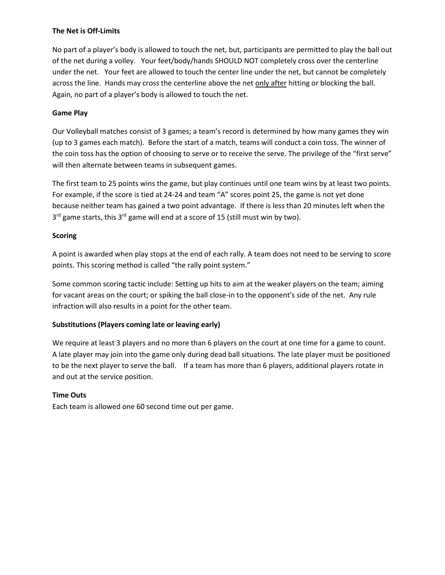#### **The Net is Off-Limits**

No part of a player's body is allowed to touch the net, but, participants are permitted to play the ball out of the net during a volley. Your feet/body/hands SHOULD NOT completely cross over the centerline under the net. Your feet are allowed to touch the center line under the net, but cannot be completely across the line. Hands may cross the centerline above the net only after hitting or blocking the ball. Again, no part of a player's body is allowed to touch the net.

## **Game Play**

Our Volleyball matches consist of 3 games; a team's record is determined by how many games they win (up to 3 games each match). Before the start of a match, teams will conduct a coin toss. The winner of the coin toss has the option of choosing to serve or to receive the serve. The privilege of the "first serve" will then alternate between teams in subsequent games.

The first team to 25 points wins the game, but play continues until one team wins by at least two points. For example, if the score is tied at 24-24 and team "A" scores point 25, the game is not yet done because neither team has gained a two point advantage. If there is less than 20 minutes left when the 3<sup>rd</sup> game starts, this 3<sup>rd</sup> game will end at a score of 15 (still must win by two).

### **Scoring**

A point is awarded when play stops at the end of each rally. A team does not need to be serving to score points. This scoring method is called "the rally point system."

Some common scoring tactic include: Setting up hits to aim at the weaker players on the team; aiming for vacant areas on the court; or spiking the ball close-in to the opponent's side of the net. Any rule infraction will also results in a point for the other team.

## **Substitutions (Players coming late or leaving early)**

We require at least 3 players and no more than 6 players on the court at one time for a game to count. A late player may join into the game only during dead ball situations. The late player must be positioned to be the next player to serve the ball. If a team has more than 6 players, additional players rotate in and out at the service position.

## **Time Outs**

Each team is allowed one 60 second time out per game.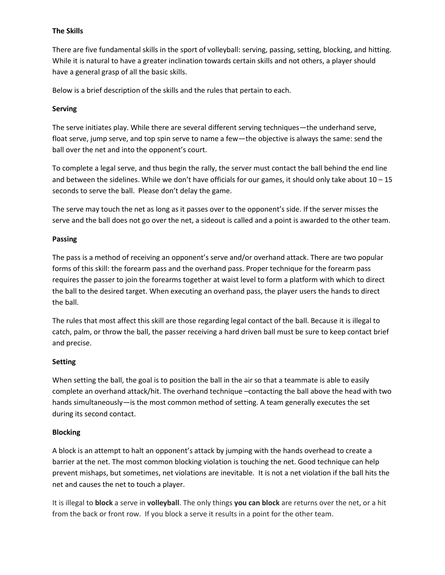#### **The Skills**

There are five fundamental skills in the sport of volleyball: serving, passing, setting, blocking, and hitting. While it is natural to have a greater inclination towards certain skills and not others, a player should have a general grasp of all the basic skills.

Below is a brief description of the skills and the rules that pertain to each.

### **Serving**

The serve initiates play. While there are several different serving techniques—the underhand serve, float serve, jump serve, and top spin serve to name a few—the objective is always the same: send the ball over the net and into the opponent's court.

To complete a legal serve, and thus begin the rally, the server must contact the ball behind the end line and between the sidelines. While we don't have officials for our games, it should only take about  $10 - 15$ seconds to serve the ball. Please don't delay the game.

The serve may touch the net as long as it passes over to the opponent's side. If the server misses the serve and the ball does not go over the net, a sideout is called and a point is awarded to the other team.

### **Passing**

The pass is a method of receiving an opponent's serve and/or overhand attack. There are two popular forms of this skill: the forearm pass and the overhand pass. Proper technique for the forearm pass requires the passer to join the forearms together at waist level to form a platform with which to direct the ball to the desired target. When executing an overhand pass, the player users the hands to direct the ball.

The rules that most affect this skill are those regarding legal contact of the ball. Because it is illegal to catch, palm, or throw the ball, the passer receiving a hard driven ball must be sure to keep contact brief and precise.

## **Setting**

When setting the ball, the goal is to position the ball in the air so that a teammate is able to easily complete an overhand attack/hit. The overhand technique –contacting the ball above the head with two hands simultaneously—is the most common method of setting. A team generally executes the set during its second contact.

#### **Blocking**

A block is an attempt to halt an opponent's attack by jumping with the hands overhead to create a barrier at the net. The most common blocking violation is touching the net. Good technique can help prevent mishaps, but sometimes, net violations are inevitable. It is not a net violation if the ball hits the net and causes the net to touch a player.

It is illegal to **block** a serve in **volleyball**. The only things **you can block** are returns over the net, or a hit from the back or front row. If you block a serve it results in a point for the other team.